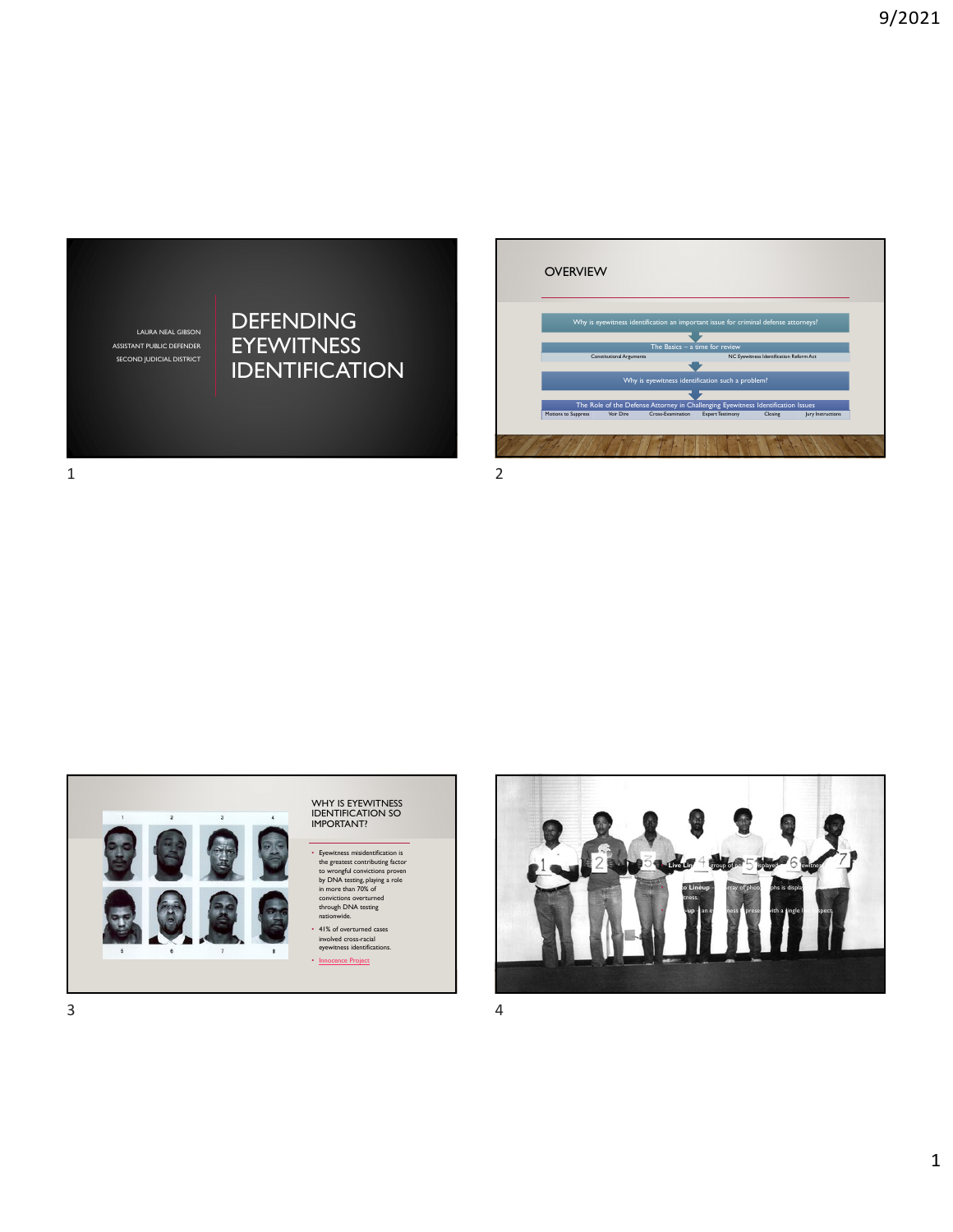LAURA NEAL GIBSON ASSISTANT PUBLIC DEFENDER SECOND JUDICIAL DISTRICT

## DEFENDING EYEWITNESS **IDENTIFICATION**



1 2

WHY IS EYEWITNESS IDENTIFICATION SO IMPORTANT? • Eyewitness misidentification is the greatest contributing factor to wrongful convictions proven by DNA testing, playing a role in more than 70% of convictions overturned through DNA testing nationwide. • 41% of overturned cases involved cross-racial eyewitness identifications. • Innocence Project

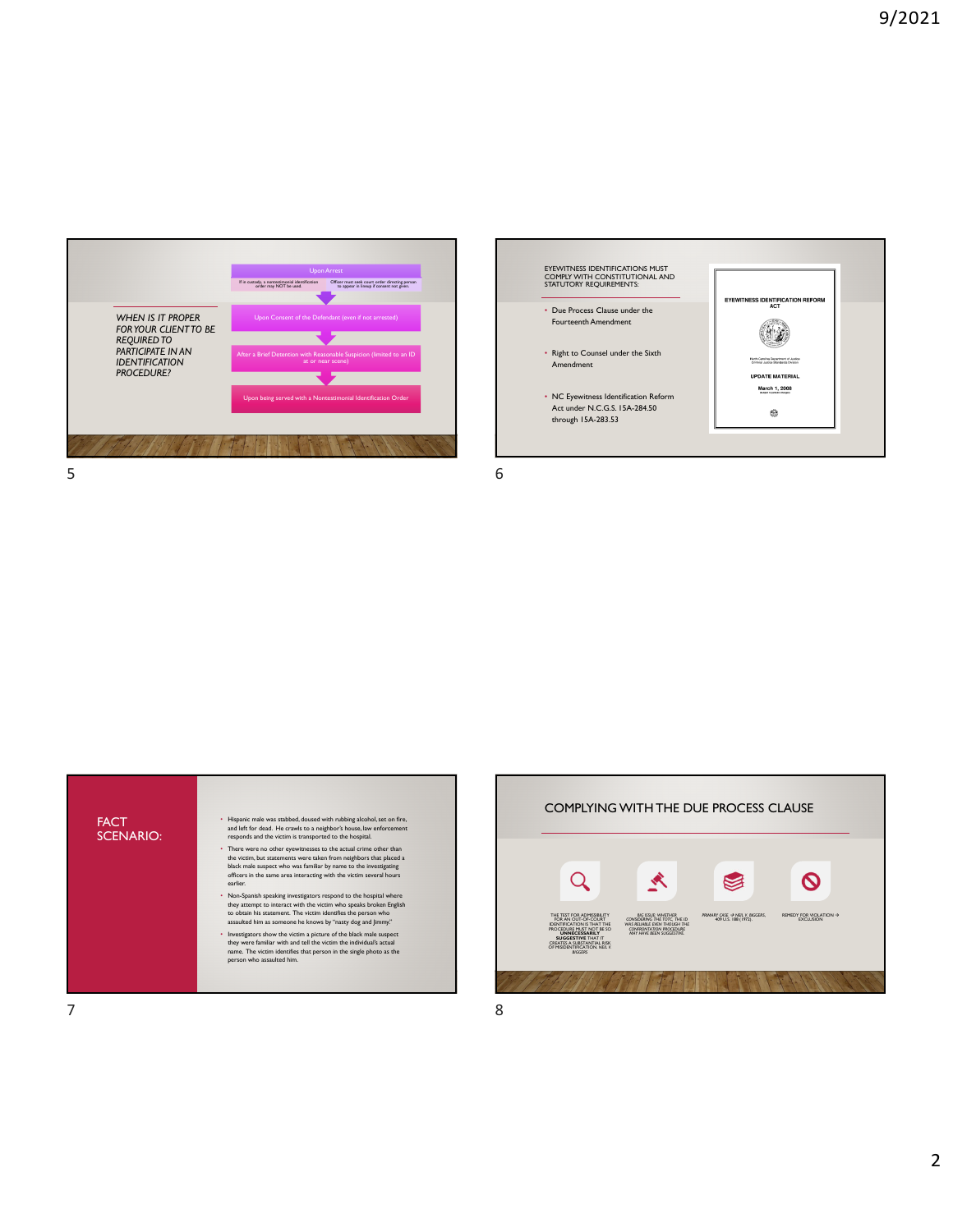





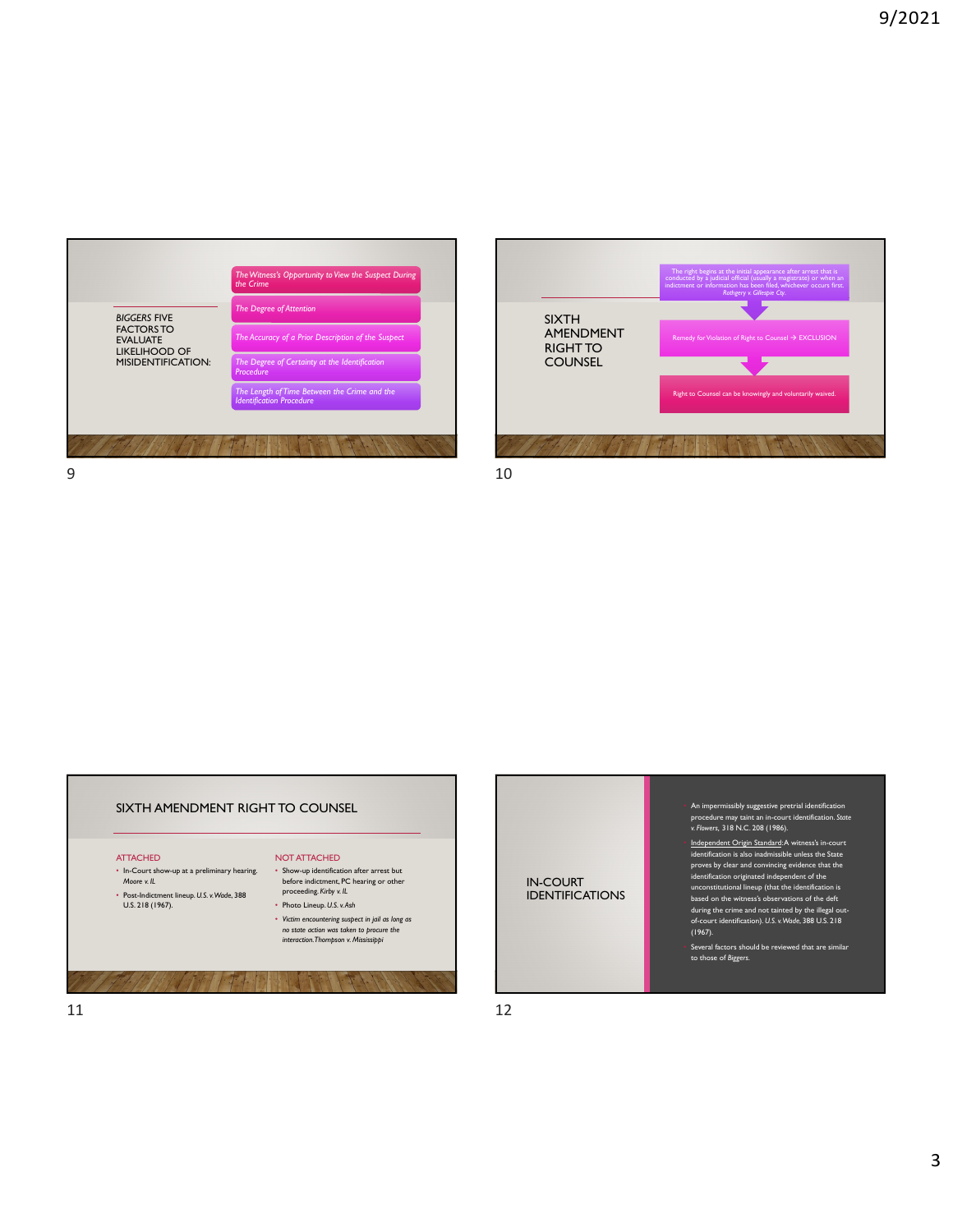





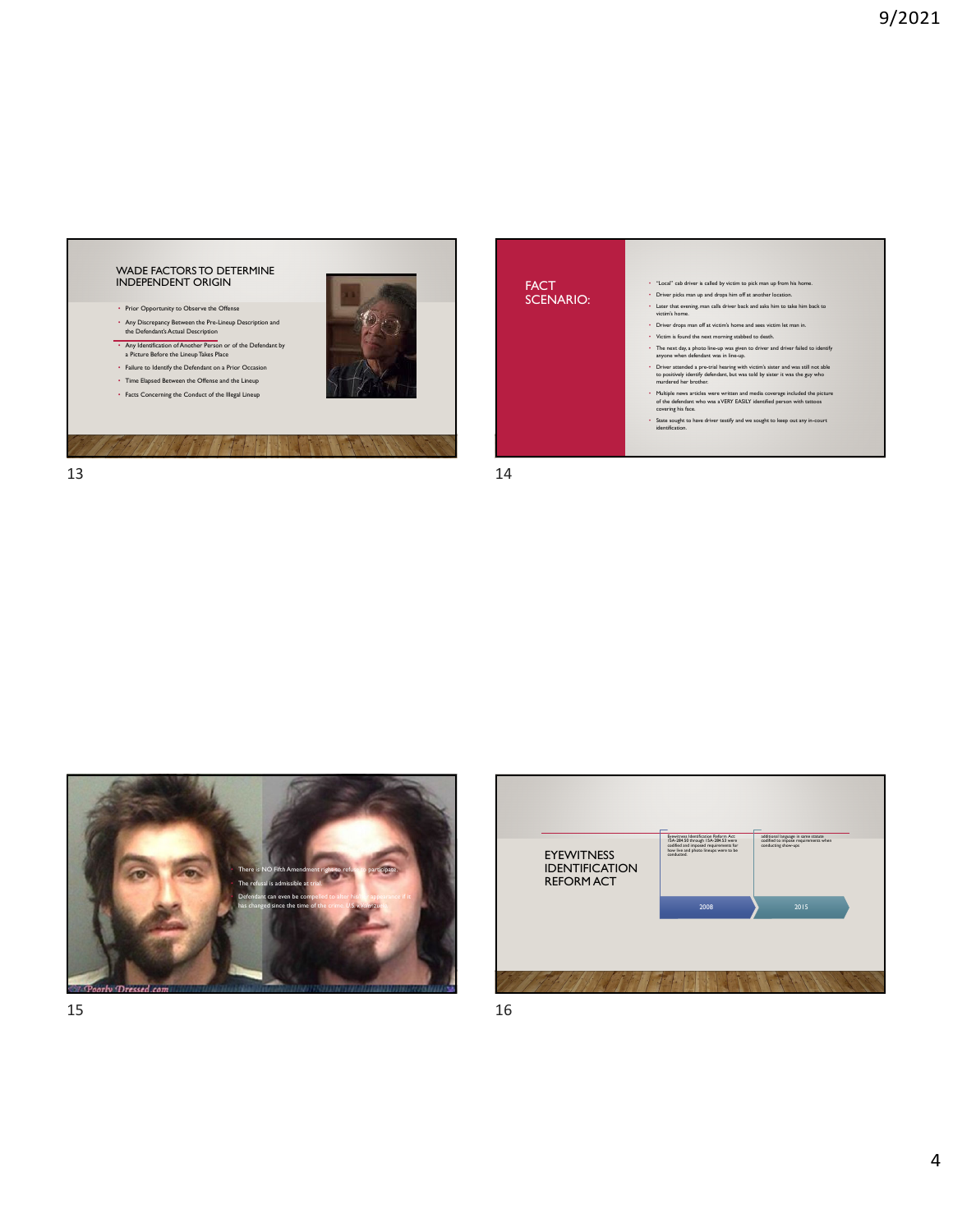



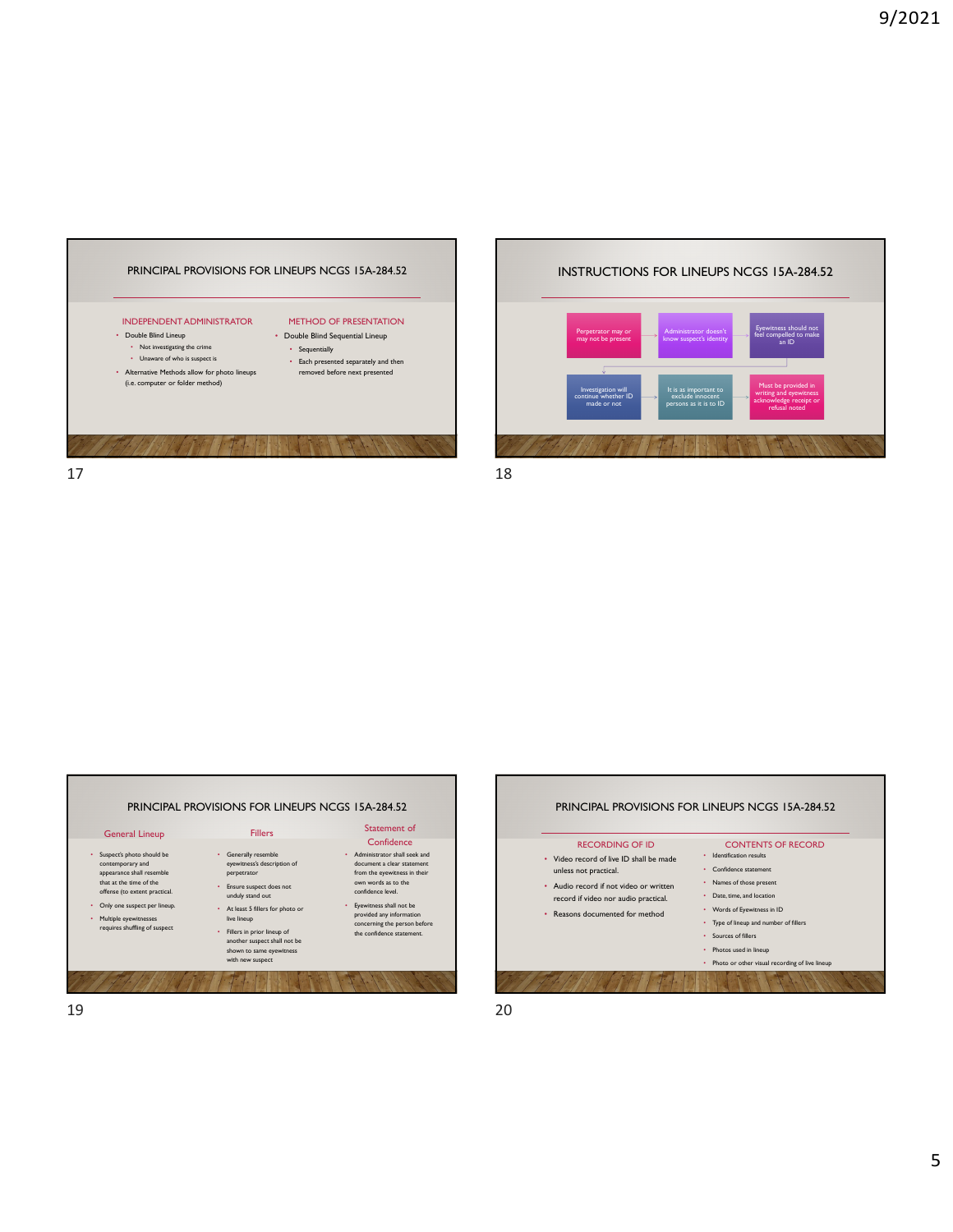





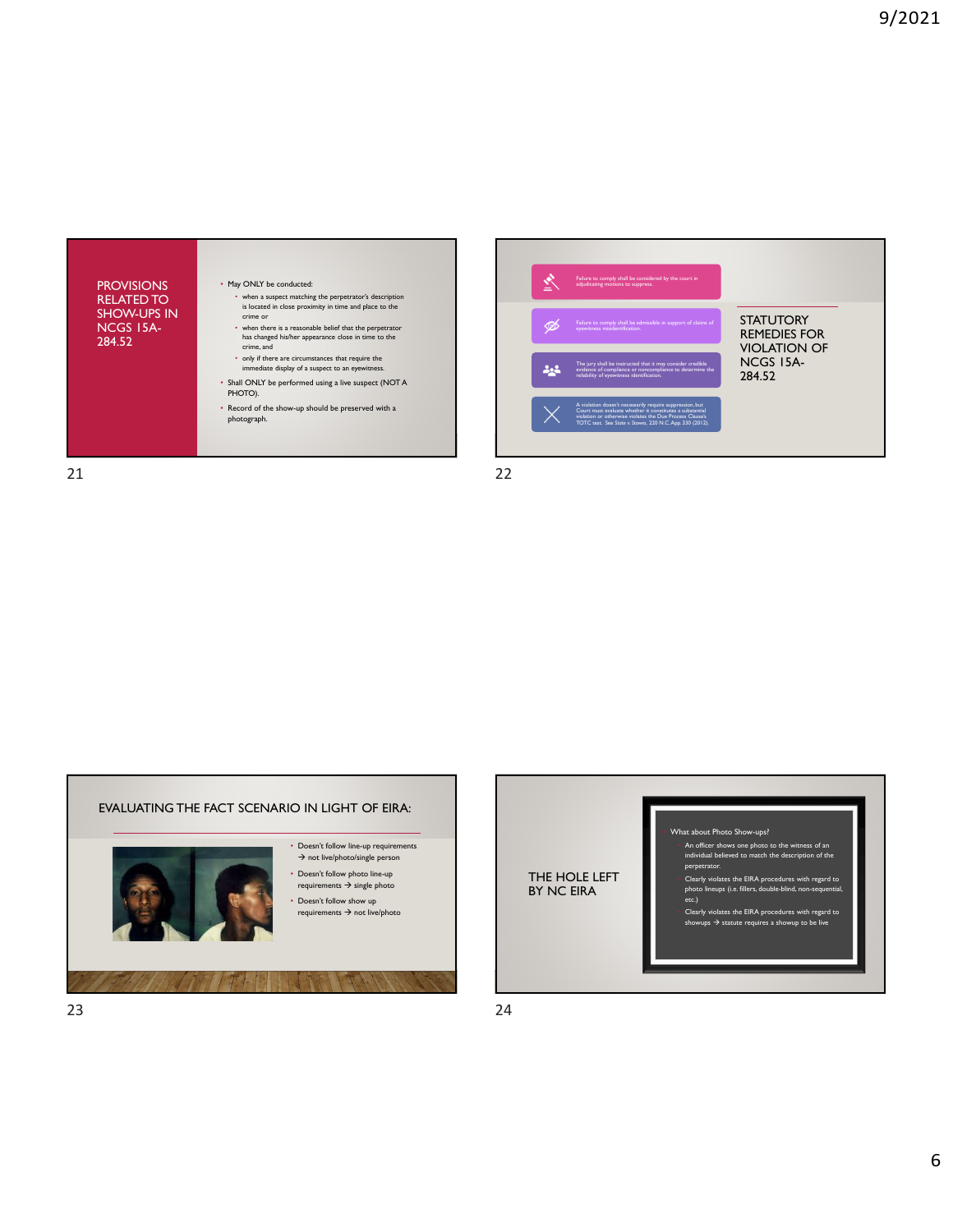



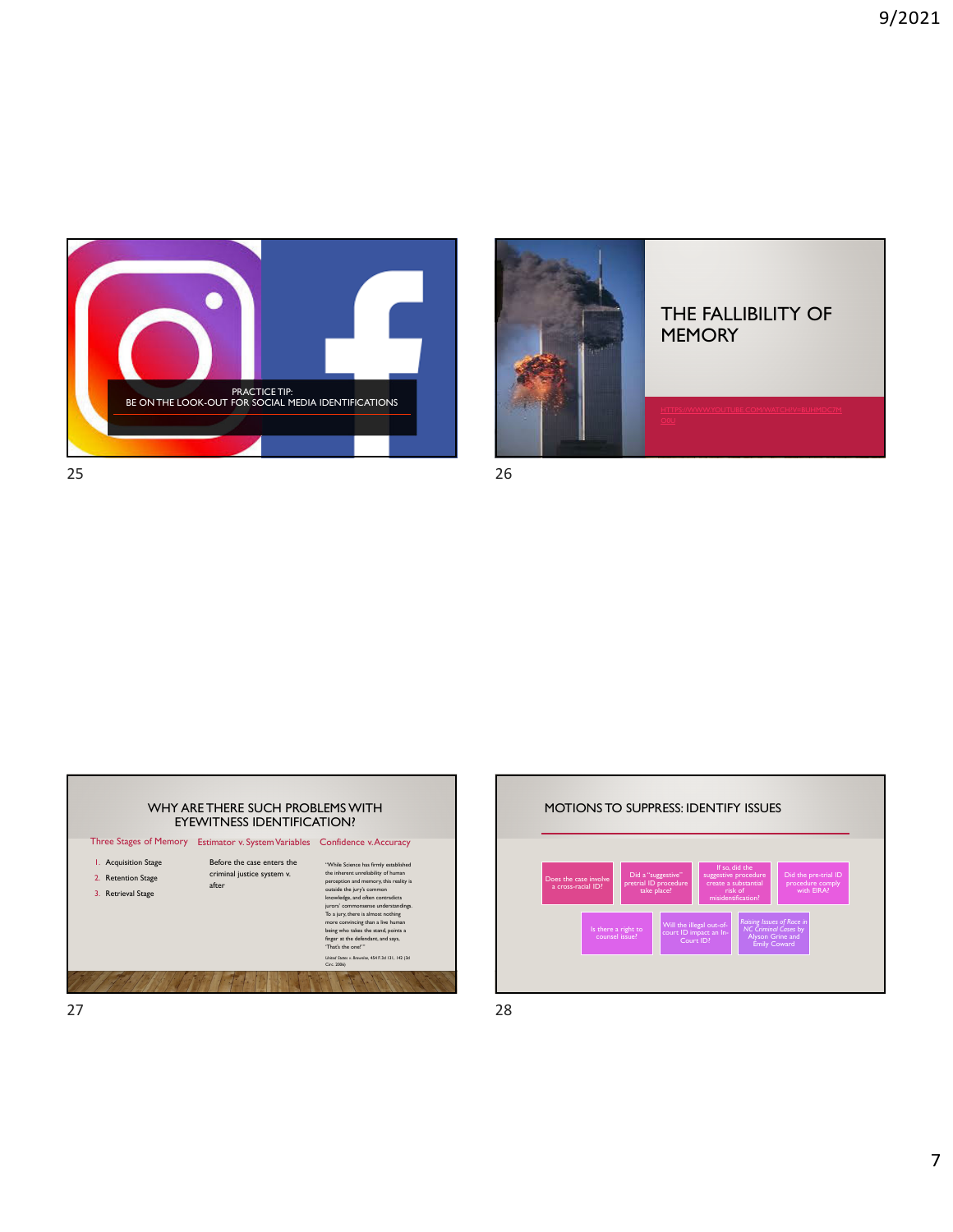







7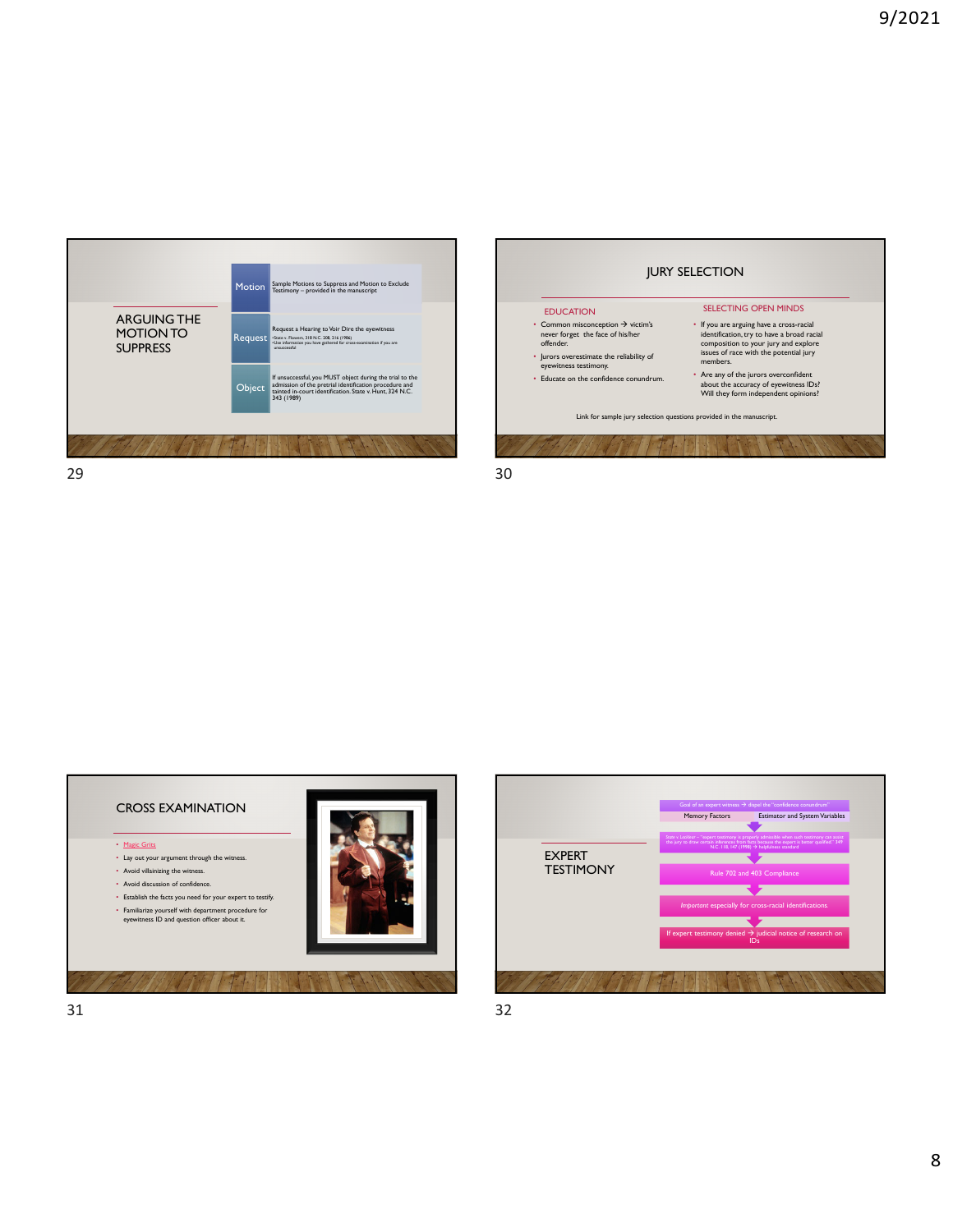